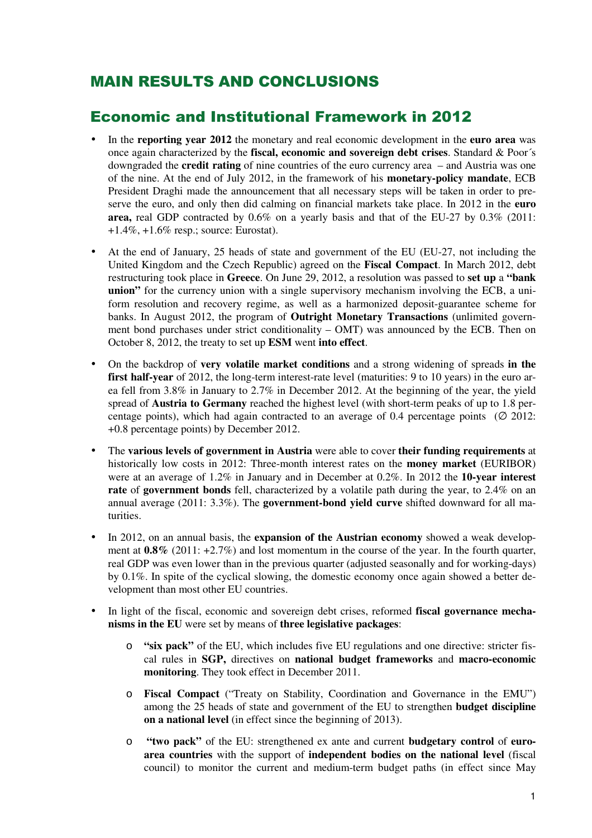## MAIN RESULTS AND CONCLUSIONS

## Economic and Institutional Framework in 2012

- In the **reporting year 2012** the monetary and real economic development in the **euro area** was once again characterized by the **fiscal, economic and sovereign debt crises**. Standard & Poor´s downgraded the **credit rating** of nine countries of the euro currency area – and Austria was one of the nine. At the end of July 2012, in the framework of his **monetary-policy mandate**, ECB President Draghi made the announcement that all necessary steps will be taken in order to preserve the euro, and only then did calming on financial markets take place. In 2012 in the **euro area,** real GDP contracted by 0.6% on a yearly basis and that of the EU-27 by 0.3% (2011: +1.4%, +1.6% resp.; source: Eurostat).
- At the end of January, 25 heads of state and government of the EU (EU-27, not including the United Kingdom and the Czech Republic) agreed on the **Fiscal Compact**. In March 2012, debt restructuring took place in **Greece**. On June 29, 2012, a resolution was passed to **set up** a **"bank union**" for the currency union with a single supervisory mechanism involving the ECB, a uniform resolution and recovery regime, as well as a harmonized deposit-guarantee scheme for banks. In August 2012, the program of **Outright Monetary Transactions** (unlimited government bond purchases under strict conditionality – OMT) was announced by the ECB. Then on October 8, 2012, the treaty to set up **ESM** went **into effect**.
- On the backdrop of **very volatile market conditions** and a strong widening of spreads **in the first half-year** of 2012, the long-term interest-rate level (maturities: 9 to 10 years) in the euro area fell from 3.8% in January to 2.7% in December 2012. At the beginning of the year, the yield spread of **Austria to Germany** reached the highest level (with short-term peaks of up to 1.8 percentage points), which had again contracted to an average of 0.4 percentage points ( $\varnothing$  2012: +0.8 percentage points) by December 2012.
- The **various levels of government in Austria** were able to cover **their funding requirements** at historically low costs in 2012: Three-month interest rates on the **money market** (EURIBOR) were at an average of 1.2% in January and in December at 0.2%. In 2012 the **10-year interest rate** of **government bonds** fell, characterized by a volatile path during the year, to 2.4% on an annual average (2011: 3.3%). The **government-bond yield curve** shifted downward for all maturities.
- In 2012, on an annual basis, the **expansion of the Austrian economy** showed a weak development at **0.8%** (2011: +2.7%) and lost momentum in the course of the year. In the fourth quarter, real GDP was even lower than in the previous quarter (adjusted seasonally and for working-days) by 0.1%. In spite of the cyclical slowing, the domestic economy once again showed a better development than most other EU countries.
- In light of the fiscal, economic and sovereign debt crises, reformed **fiscal governance mechanisms in the EU** were set by means of **three legislative packages**:
	- o **"six pack"** of the EU, which includes five EU regulations and one directive: stricter fiscal rules in **SGP,** directives on **national budget frameworks** and **macro-economic monitoring**. They took effect in December 2011.
	- o **Fiscal Compact** ("Treaty on Stability, Coordination and Governance in the EMU") among the 25 heads of state and government of the EU to strengthen **budget discipline on a national level** (in effect since the beginning of 2013).
	- o **"two pack"** of the EU: strengthened ex ante and current **budgetary control** of **euroarea countries** with the support of **independent bodies on the national level** (fiscal council) to monitor the current and medium-term budget paths (in effect since May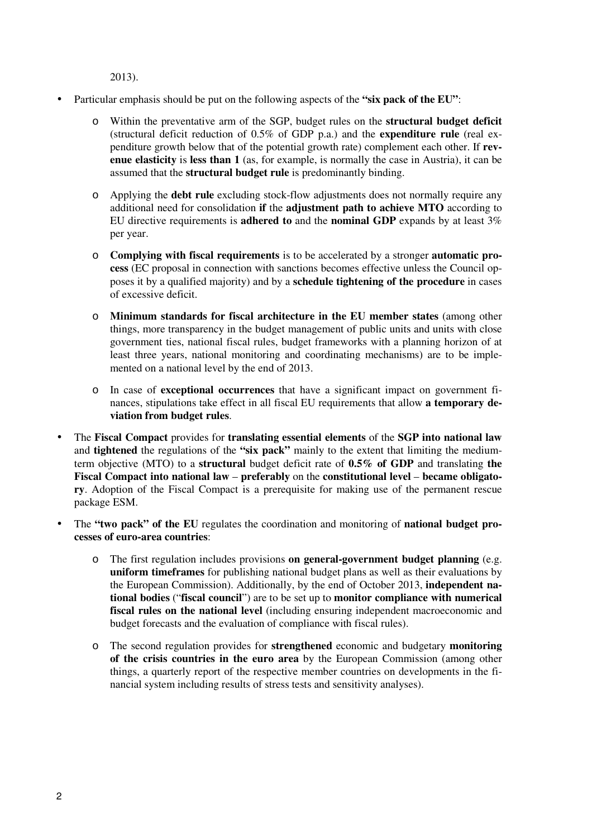2013).

- Particular emphasis should be put on the following aspects of the **"six pack of the EU"**:
	- o Within the preventative arm of the SGP, budget rules on the **structural budget deficit** (structural deficit reduction of 0.5% of GDP p.a.) and the **expenditure rule** (real expenditure growth below that of the potential growth rate) complement each other. If **revenue elasticity** is **less than 1** (as, for example, is normally the case in Austria), it can be assumed that the **structural budget rule** is predominantly binding.
	- o Applying the **debt rule** excluding stock-flow adjustments does not normally require any additional need for consolidation **if** the **adjustment path to achieve MTO** according to EU directive requirements is **adhered to** and the **nominal GDP** expands by at least 3% per year.
	- o **Complying with fiscal requirements** is to be accelerated by a stronger **automatic process** (EC proposal in connection with sanctions becomes effective unless the Council opposes it by a qualified majority) and by a **schedule tightening of the procedure** in cases of excessive deficit.
	- o **Minimum standards for fiscal architecture in the EU member states** (among other things, more transparency in the budget management of public units and units with close government ties, national fiscal rules, budget frameworks with a planning horizon of at least three years, national monitoring and coordinating mechanisms) are to be implemented on a national level by the end of 2013.
	- o In case of **exceptional occurrences** that have a significant impact on government finances, stipulations take effect in all fiscal EU requirements that allow **a temporary deviation from budget rules**.
- The **Fiscal Compact** provides for **translating essential elements** of the **SGP into national law** and **tightened** the regulations of the **"six pack"** mainly to the extent that limiting the mediumterm objective (MTO) to a **structural** budget deficit rate of **0.5% of GDP** and translating **the Fiscal Compact into national law** – **preferably** on the **constitutional level** – **became obligatory**. Adoption of the Fiscal Compact is a prerequisite for making use of the permanent rescue package ESM.
- The **"two pack" of the EU** regulates the coordination and monitoring of **national budget processes of euro-area countries**:
	- o The first regulation includes provisions **on general-government budget planning** (e.g. **uniform timeframes** for publishing national budget plans as well as their evaluations by the European Commission). Additionally, by the end of October 2013, **independent national bodies** ("**fiscal council**") are to be set up to **monitor compliance with numerical fiscal rules on the national level** (including ensuring independent macroeconomic and budget forecasts and the evaluation of compliance with fiscal rules).
	- o The second regulation provides for **strengthened** economic and budgetary **monitoring of the crisis countries in the euro area** by the European Commission (among other things, a quarterly report of the respective member countries on developments in the financial system including results of stress tests and sensitivity analyses).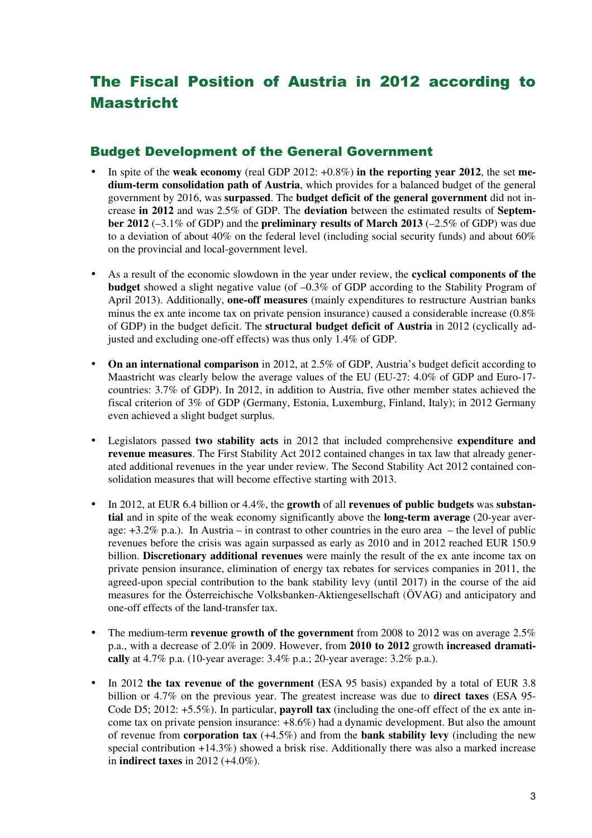# The Fiscal Position of Austria in 2012 according to Maastricht

#### Budget Development of the General Government

- In spite of the **weak economy** (real GDP 2012: +0.8%) **in the reporting year 2012**, the set **medium-term consolidation path of Austria**, which provides for a balanced budget of the general government by 2016, was **surpassed**. The **budget deficit of the general government** did not increase **in 2012** and was 2.5% of GDP. The **deviation** between the estimated results of **September 2012** (–3.1% of GDP) and the **preliminary results of March 2013** (–2.5% of GDP) was due to a deviation of about 40% on the federal level (including social security funds) and about 60% on the provincial and local-government level.
- As a result of the economic slowdown in the year under review, the **cyclical components of the budget** showed a slight negative value (of –0.3% of GDP according to the Stability Program of April 2013). Additionally, **one-off measures** (mainly expenditures to restructure Austrian banks minus the ex ante income tax on private pension insurance) caused a considerable increase (0.8% of GDP) in the budget deficit. The **structural budget deficit of Austria** in 2012 (cyclically adjusted and excluding one-off effects) was thus only 1.4% of GDP.
- On an international comparison in 2012, at 2.5% of GDP, Austria's budget deficit according to Maastricht was clearly below the average values of the EU (EU-27: 4.0% of GDP and Euro-17 countries: 3.7% of GDP). In 2012, in addition to Austria, five other member states achieved the fiscal criterion of 3% of GDP (Germany, Estonia, Luxemburg, Finland, Italy); in 2012 Germany even achieved a slight budget surplus.
- Legislators passed **two stability acts** in 2012 that included comprehensive **expenditure and revenue measures**. The First Stability Act 2012 contained changes in tax law that already generated additional revenues in the year under review. The Second Stability Act 2012 contained consolidation measures that will become effective starting with 2013.
- In 2012, at EUR 6.4 billion or 4.4%, the **growth** of all **revenues of public budgets** was **substantial** and in spite of the weak economy significantly above the **long-term average** (20-year average: +3.2% p.a.). In Austria – in contrast to other countries in the euro area – the level of public revenues before the crisis was again surpassed as early as 2010 and in 2012 reached EUR 150.9 billion. **Discretionary additional revenues** were mainly the result of the ex ante income tax on private pension insurance, elimination of energy tax rebates for services companies in 2011, the agreed-upon special contribution to the bank stability levy (until 2017) in the course of the aid measures for the Österreichische Volksbanken-Aktiengesellschaft (ÖVAG) and anticipatory and one-off effects of the land-transfer tax.
- The medium-term **revenue growth of the government** from 2008 to 2012 was on average 2.5% p.a., with a decrease of 2.0% in 2009. However, from **2010 to 2012** growth **increased dramatically** at 4.7% p.a. (10-year average: 3.4% p.a.; 20-year average: 3.2% p.a.).
- In 2012 **the tax revenue of the government** (ESA 95 basis) expanded by a total of EUR 3.8 billion or 4.7% on the previous year. The greatest increase was due to **direct taxes** (ESA 95- Code D5; 2012: +5.5%). In particular, **payroll tax** (including the one-off effect of the ex ante income tax on private pension insurance: +8.6%) had a dynamic development. But also the amount of revenue from **corporation tax** (+4.5%) and from the **bank stability levy** (including the new special contribution  $+14.3\%$ ) showed a brisk rise. Additionally there was also a marked increase in **indirect taxes** in 2012 (+4.0%).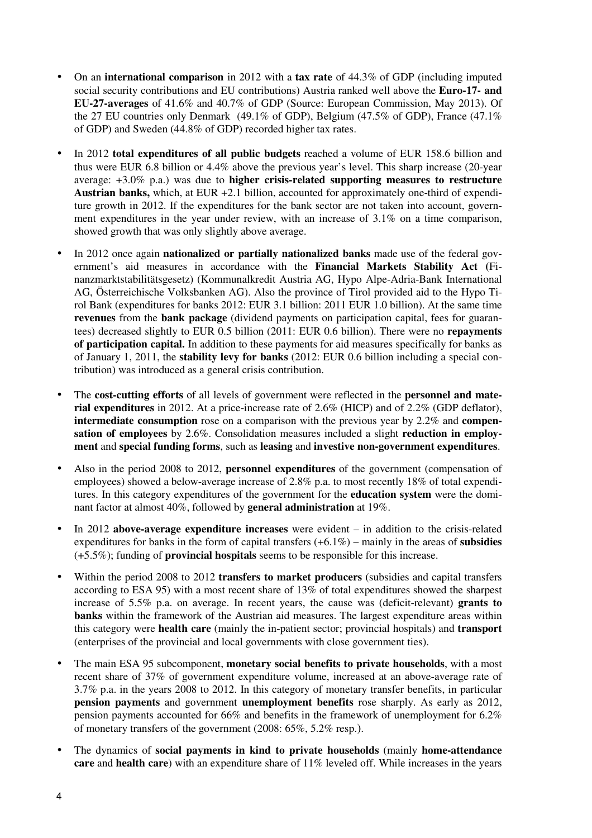- On an **international comparison** in 2012 with a **tax rate** of 44.3% of GDP (including imputed social security contributions and EU contributions) Austria ranked well above the **Euro-17- and EU-27-averages** of 41.6% and 40.7% of GDP (Source: European Commission, May 2013). Of the 27 EU countries only Denmark (49.1% of GDP), Belgium (47.5% of GDP), France (47.1% of GDP) and Sweden (44.8% of GDP) recorded higher tax rates.
- In 2012 **total expenditures of all public budgets** reached a volume of EUR 158.6 billion and thus were EUR 6.8 billion or 4.4% above the previous year's level. This sharp increase (20-year average: +3.0% p.a.) was due to **higher crisis-related supporting measures to restructure Austrian banks,** which, at EUR +2.1 billion, accounted for approximately one-third of expenditure growth in 2012. If the expenditures for the bank sector are not taken into account, government expenditures in the year under review, with an increase of 3.1% on a time comparison, showed growth that was only slightly above average.
- In 2012 once again **nationalized or partially nationalized banks** made use of the federal government's aid measures in accordance with the **Financial Markets Stability Act (**Finanzmarktstabilitätsgesetz) (Kommunalkredit Austria AG, Hypo Alpe-Adria-Bank International AG, Österreichische Volksbanken AG). Also the province of Tirol provided aid to the Hypo Tirol Bank (expenditures for banks 2012: EUR 3.1 billion: 2011 EUR 1.0 billion). At the same time **revenues** from the **bank package** (dividend payments on participation capital, fees for guarantees) decreased slightly to EUR 0.5 billion (2011: EUR 0.6 billion). There were no **repayments of participation capital.** In addition to these payments for aid measures specifically for banks as of January 1, 2011, the **stability levy for banks** (2012: EUR 0.6 billion including a special contribution) was introduced as a general crisis contribution.
- The **cost-cutting efforts** of all levels of government were reflected in the **personnel and material expenditures** in 2012. At a price-increase rate of 2.6% (HICP) and of 2.2% (GDP deflator), **intermediate consumption** rose on a comparison with the previous year by 2.2% and **compensation of employees** by 2.6%. Consolidation measures included a slight **reduction in employment** and **special funding forms**, such as **leasing** and **investive non-government expenditures**.
- Also in the period 2008 to 2012, **personnel expenditures** of the government (compensation of employees) showed a below-average increase of 2.8% p.a. to most recently 18% of total expenditures. In this category expenditures of the government for the **education system** were the dominant factor at almost 40%, followed by **general administration** at 19%.
- In 2012 **above-average expenditure increases** were evident in addition to the crisis-related expenditures for banks in the form of capital transfers (+6.1%) – mainly in the areas of **subsidies**  (+5.5%); funding of **provincial hospitals** seems to be responsible for this increase.
- Within the period 2008 to 2012 **transfers to market producers** (subsidies and capital transfers according to ESA 95) with a most recent share of 13% of total expenditures showed the sharpest increase of 5.5% p.a. on average. In recent years, the cause was (deficit-relevant) **grants to banks** within the framework of the Austrian aid measures. The largest expenditure areas within this category were **health care** (mainly the in-patient sector; provincial hospitals) and **transport** (enterprises of the provincial and local governments with close government ties).
- The main ESA 95 subcomponent, **monetary social benefits to private households**, with a most recent share of 37% of government expenditure volume, increased at an above-average rate of 3.7% p.a. in the years 2008 to 2012. In this category of monetary transfer benefits, in particular **pension payments** and government **unemployment benefits** rose sharply. As early as 2012, pension payments accounted for 66% and benefits in the framework of unemployment for 6.2% of monetary transfers of the government (2008: 65%, 5.2% resp.).
- The dynamics of **social payments in kind to private households** (mainly **home-attendance care** and **health care**) with an expenditure share of 11% leveled off. While increases in the years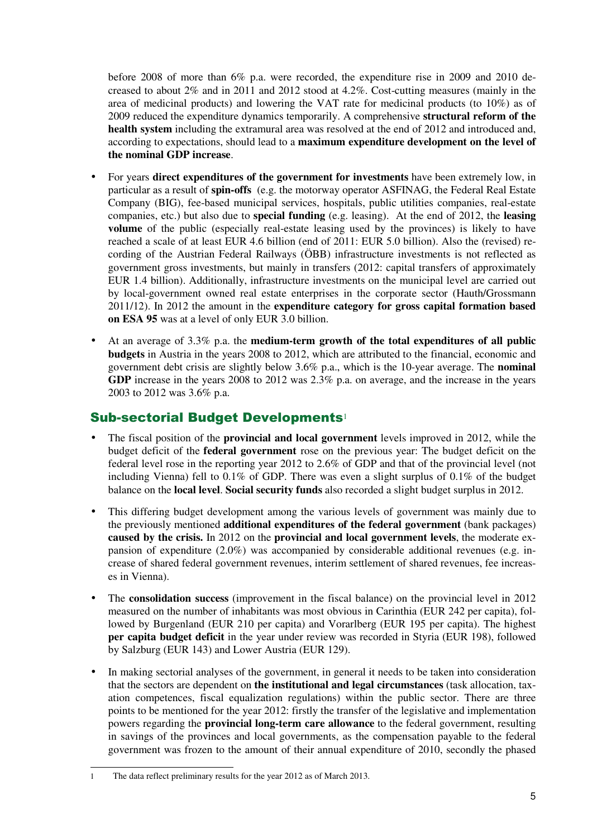before 2008 of more than 6% p.a. were recorded, the expenditure rise in 2009 and 2010 decreased to about 2% and in 2011 and 2012 stood at 4.2%. Cost-cutting measures (mainly in the area of medicinal products) and lowering the VAT rate for medicinal products (to 10%) as of 2009 reduced the expenditure dynamics temporarily. A comprehensive **structural reform of the health system** including the extramural area was resolved at the end of 2012 and introduced and, according to expectations, should lead to a **maximum expenditure development on the level of the nominal GDP increase**.

- For years **direct expenditures of the government for investments** have been extremely low, in particular as a result of **spin-offs** (e.g. the motorway operator ASFINAG, the Federal Real Estate Company (BIG), fee-based municipal services, hospitals, public utilities companies, real-estate companies, etc.) but also due to **special funding** (e.g. leasing). At the end of 2012, the **leasing volume** of the public (especially real-estate leasing used by the provinces) is likely to have reached a scale of at least EUR 4.6 billion (end of 2011: EUR 5.0 billion). Also the (revised) recording of the Austrian Federal Railways (ÖBB) infrastructure investments is not reflected as government gross investments, but mainly in transfers (2012: capital transfers of approximately EUR 1.4 billion). Additionally, infrastructure investments on the municipal level are carried out by local-government owned real estate enterprises in the corporate sector (Hauth/Grossmann 2011/12). In 2012 the amount in the **expenditure category for gross capital formation based on ESA 95** was at a level of only EUR 3.0 billion.
- At an average of 3.3% p.a. the **medium-term growth of the total expenditures of all public budgets** in Austria in the years 2008 to 2012, which are attributed to the financial, economic and government debt crisis are slightly below 3.6% p.a., which is the 10-year average. The **nominal GDP** increase in the years 2008 to 2012 was 2.3% p.a. on average, and the increase in the years 2003 to 2012 was 3.6% p.a.

#### Sub-sectorial Budget Developments<sup>1</sup>

- The fiscal position of the **provincial and local government** levels improved in 2012, while the budget deficit of the **federal government** rose on the previous year: The budget deficit on the federal level rose in the reporting year 2012 to 2.6% of GDP and that of the provincial level (not including Vienna) fell to 0.1% of GDP. There was even a slight surplus of 0.1% of the budget balance on the **local level**. **Social security funds** also recorded a slight budget surplus in 2012.
- This differing budget development among the various levels of government was mainly due to the previously mentioned **additional expenditures of the federal government** (bank packages) **caused by the crisis.** In 2012 on the **provincial and local government levels**, the moderate expansion of expenditure (2.0%) was accompanied by considerable additional revenues (e.g. increase of shared federal government revenues, interim settlement of shared revenues, fee increases in Vienna).
- The **consolidation success** (improvement in the fiscal balance) on the provincial level in 2012 measured on the number of inhabitants was most obvious in Carinthia (EUR 242 per capita), followed by Burgenland (EUR 210 per capita) and Vorarlberg (EUR 195 per capita). The highest **per capita budget deficit** in the year under review was recorded in Styria (EUR 198), followed by Salzburg (EUR 143) and Lower Austria (EUR 129).
- In making sectorial analyses of the government, in general it needs to be taken into consideration that the sectors are dependent on **the institutional and legal circumstances** (task allocation, taxation competences, fiscal equalization regulations) within the public sector. There are three points to be mentioned for the year 2012: firstly the transfer of the legislative and implementation powers regarding the **provincial long-term care allowance** to the federal government, resulting in savings of the provinces and local governments, as the compensation payable to the federal government was frozen to the amount of their annual expenditure of 2010, secondly the phased

 $\overline{a}$ 

<sup>1</sup> The data reflect preliminary results for the year 2012 as of March 2013.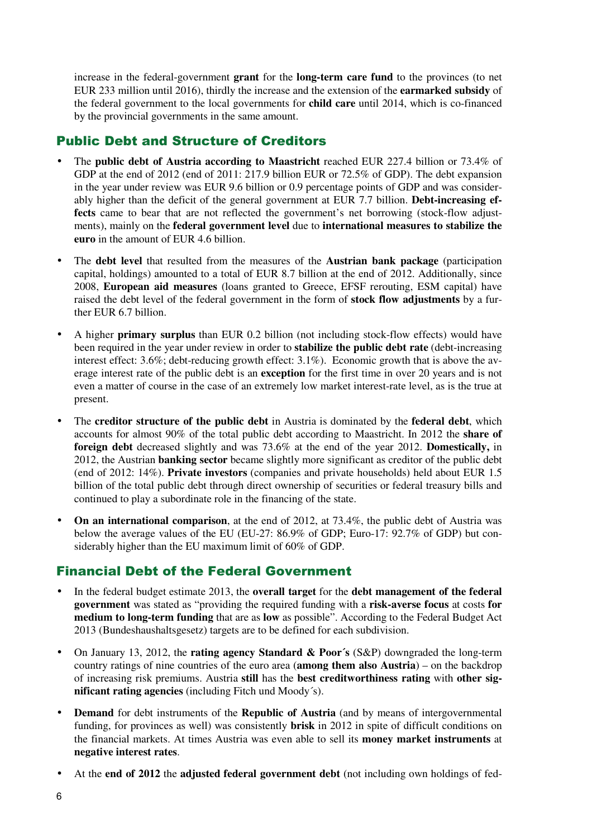increase in the federal-government **grant** for the **long-term care fund** to the provinces (to net EUR 233 million until 2016), thirdly the increase and the extension of the **earmarked subsidy** of the federal government to the local governments for **child care** until 2014, which is co-financed by the provincial governments in the same amount.

#### Public Debt and Structure of Creditors

- The **public debt of Austria according to Maastricht** reached EUR 227.4 billion or 73.4% of GDP at the end of 2012 (end of 2011: 217.9 billion EUR or 72.5% of GDP). The debt expansion in the year under review was EUR 9.6 billion or 0.9 percentage points of GDP and was considerably higher than the deficit of the general government at EUR 7.7 billion. **Debt-increasing ef**fects came to bear that are not reflected the government's net borrowing (stock-flow adjustments), mainly on the **federal government level** due to **international measures to stabilize the euro** in the amount of EUR 4.6 billion.
- The **debt level** that resulted from the measures of the **Austrian bank package** (participation capital, holdings) amounted to a total of EUR 8.7 billion at the end of 2012. Additionally, since 2008, **European aid measures** (loans granted to Greece, EFSF rerouting, ESM capital) have raised the debt level of the federal government in the form of **stock flow adjustments** by a further EUR 6.7 billion.
- A higher **primary surplus** than EUR 0.2 billion (not including stock-flow effects) would have been required in the year under review in order to **stabilize the public debt rate** (debt-increasing interest effect: 3.6%; debt-reducing growth effect: 3.1%). Economic growth that is above the average interest rate of the public debt is an **exception** for the first time in over 20 years and is not even a matter of course in the case of an extremely low market interest-rate level, as is the true at present.
- The **creditor structure of the public debt** in Austria is dominated by the **federal debt**, which accounts for almost 90% of the total public debt according to Maastricht. In 2012 the **share of foreign debt** decreased slightly and was 73.6% at the end of the year 2012. **Domestically,** in 2012, the Austrian **banking sector** became slightly more significant as creditor of the public debt (end of 2012: 14%). **Private investors** (companies and private households) held about EUR 1.5 billion of the total public debt through direct ownership of securities or federal treasury bills and continued to play a subordinate role in the financing of the state.
- **On an international comparison**, at the end of 2012, at 73.4%, the public debt of Austria was below the average values of the EU (EU-27: 86.9% of GDP; Euro-17: 92.7% of GDP) but considerably higher than the EU maximum limit of 60% of GDP.

### Financial Debt of the Federal Government

- In the federal budget estimate 2013, the **overall target** for the **debt management of the federal government** was stated as "providing the required funding with a **risk-averse focus** at costs **for medium to long-term funding** that are as **low** as possible". According to the Federal Budget Act 2013 (Bundeshaushaltsgesetz) targets are to be defined for each subdivision.
- On January 13, 2012, the **rating agency Standard & Poor´s** (S&P) downgraded the long-term country ratings of nine countries of the euro area (**among them also Austria**) – on the backdrop of increasing risk premiums. Austria **still** has the **best creditworthiness rating** with **other significant rating agencies** (including Fitch und Moody´s).
- **Demand** for debt instruments of the **Republic of Austria** (and by means of intergovernmental funding, for provinces as well) was consistently **brisk** in 2012 in spite of difficult conditions on the financial markets. At times Austria was even able to sell its **money market instruments** at **negative interest rates**.
- At the **end of 2012** the **adjusted federal government debt** (not including own holdings of fed-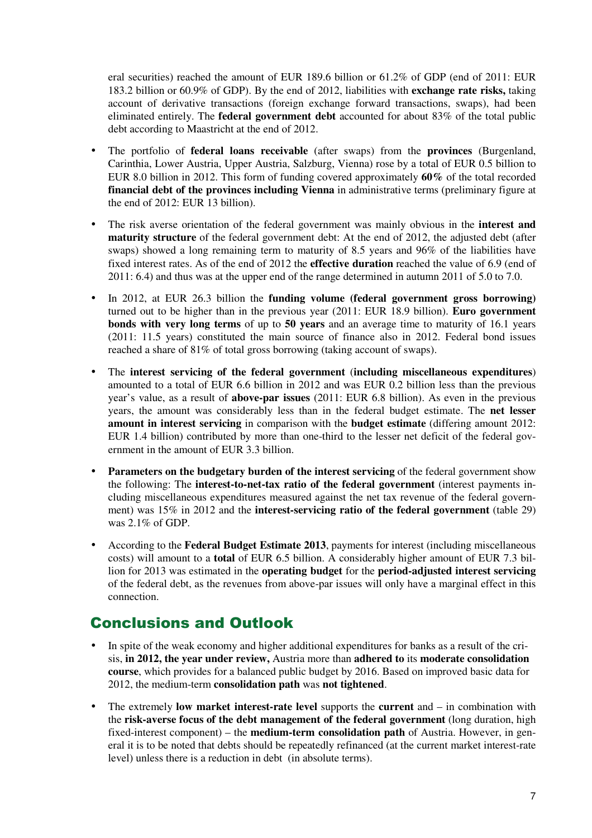eral securities) reached the amount of EUR 189.6 billion or 61.2% of GDP (end of 2011: EUR 183.2 billion or 60.9% of GDP). By the end of 2012, liabilities with **exchange rate risks,** taking account of derivative transactions (foreign exchange forward transactions, swaps), had been eliminated entirely. The **federal government debt** accounted for about 83% of the total public debt according to Maastricht at the end of 2012.

- The portfolio of **federal loans receivable** (after swaps) from the **provinces** (Burgenland, Carinthia, Lower Austria, Upper Austria, Salzburg, Vienna) rose by a total of EUR 0.5 billion to EUR 8.0 billion in 2012. This form of funding covered approximately **60%** of the total recorded **financial debt of the provinces including Vienna** in administrative terms (preliminary figure at the end of 2012: EUR 13 billion).
- The risk averse orientation of the federal government was mainly obvious in the **interest and maturity structure** of the federal government debt: At the end of 2012, the adjusted debt (after swaps) showed a long remaining term to maturity of 8.5 years and 96% of the liabilities have fixed interest rates. As of the end of 2012 the **effective duration** reached the value of 6.9 (end of 2011: 6.4) and thus was at the upper end of the range determined in autumn 2011 of 5.0 to 7.0.
- In 2012, at EUR 26.3 billion the **funding volume (federal government gross borrowing)** turned out to be higher than in the previous year (2011: EUR 18.9 billion). **Euro government bonds with very long terms** of up to **50 years** and an average time to maturity of 16.1 years (2011: 11.5 years) constituted the main source of finance also in 2012. Federal bond issues reached a share of 81% of total gross borrowing (taking account of swaps).
- The **interest servicing of the federal government** (**including miscellaneous expenditures**) amounted to a total of EUR 6.6 billion in 2012 and was EUR 0.2 billion less than the previous year's value, as a result of **above-par issues** (2011: EUR 6.8 billion). As even in the previous years, the amount was considerably less than in the federal budget estimate. The **net lesser amount in interest servicing** in comparison with the **budget estimate** (differing amount 2012: EUR 1.4 billion) contributed by more than one-third to the lesser net deficit of the federal government in the amount of EUR 3.3 billion.
- **Parameters on the budgetary burden of the interest servicing** of the federal government show the following: The **interest-to-net-tax ratio of the federal government** (interest payments including miscellaneous expenditures measured against the net tax revenue of the federal government) was 15% in 2012 and the **interest-servicing ratio of the federal government** (table 29) was 2.1% of GDP.
- According to the **Federal Budget Estimate 2013**, payments for interest (including miscellaneous costs) will amount to a **total** of EUR 6.5 billion. A considerably higher amount of EUR 7.3 billion for 2013 was estimated in the **operating budget** for the **period-adjusted interest servicing**  of the federal debt, as the revenues from above-par issues will only have a marginal effect in this connection.

## Conclusions and Outlook

- In spite of the weak economy and higher additional expenditures for banks as a result of the crisis, **in 2012, the year under review,** Austria more than **adhered to** its **moderate consolidation course**, which provides for a balanced public budget by 2016. Based on improved basic data for 2012, the medium-term **consolidation path** was **not tightened**.
- The extremely **low market interest-rate level** supports the **current** and in combination with the **risk-averse focus of the debt management of the federal government** (long duration, high fixed-interest component) – the **medium-term consolidation path** of Austria. However, in general it is to be noted that debts should be repeatedly refinanced (at the current market interest-rate level) unless there is a reduction in debt (in absolute terms).